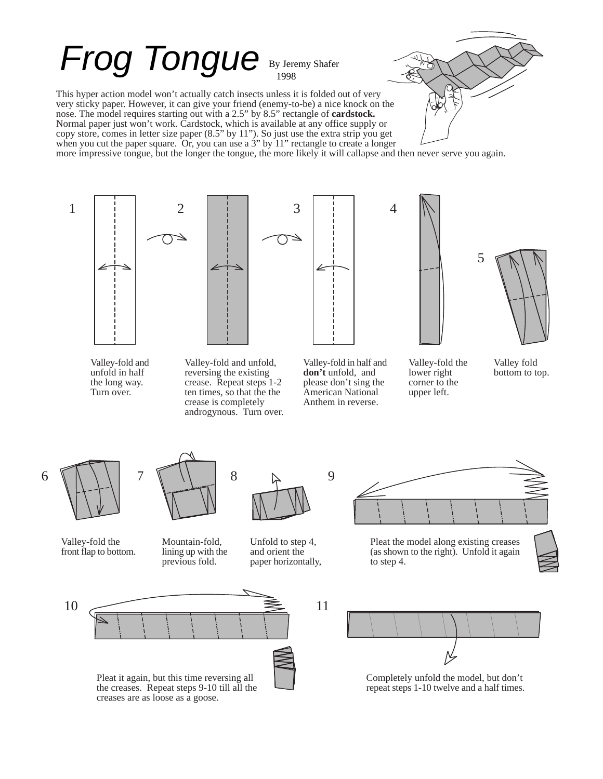## Frog Tongue By Jeremy Shafer

This hyper action model won't actually catch insects unless it is folded out of very very sticky paper. However, it can give your friend (enemy-to-be) a nice knock on the nose. The model requires starting out with a 2.5" by 8.5" rectangle of **cardstock.** Normal paper just won't work. Cardstock, which is available at any office supply or copy store, comes in letter size paper (8.5" by 11"). So just use the extra strip you get when you cut the paper square. Or, you can use a 3" by 11" rectangle to create a longer

more impressive tongue, but the longer the tongue, the more likely it will callapse and then never serve you again.